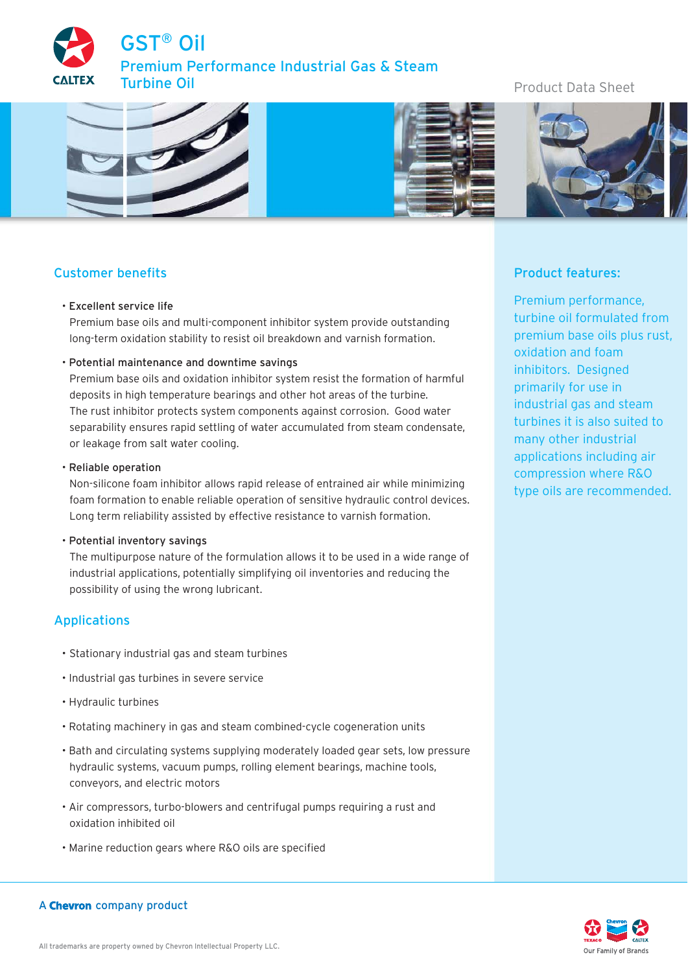GST® Oil emium Performance Industrial Gas & Steam Turbine Oil

# Product Data Sheet



# Customer benefits

#### • Excellent service life

Premium base oils and multi-component inhibitor system provide outstanding long-term oxidation stability to resist oil breakdown and varnish formation.

#### • Potential maintenance and downtime savings

Premium base oils and oxidation inhibitor system resist the formation of harmful deposits in high temperature bearings and other hot areas of the turbine. The rust inhibitor protects system components against corrosion. Good water separability ensures rapid settling of water accumulated from steam condensate, or leakage from salt water cooling.

## • Reliable operation

Non-silicone foam inhibitor allows rapid release of entrained air while minimizing foam formation to enable reliable operation of sensitive hydraulic control devices. Long term reliability assisted by effective resistance to varnish formation.

#### • Potential inventory savings

The multipurpose nature of the formulation allows it to be used in a wide range of industrial applications, potentially simplifying oil inventories and reducing the possibility of using the wrong lubricant.

# Applications

- Stationary industrial gas and steam turbines
- Industrial gas turbines in severe service
- Hydraulic turbines
- Rotating machinery in gas and steam combined-cycle cogeneration units
- Bath and circulating systems supplying moderately loaded gear sets, low pressure hydraulic systems, vacuum pumps, rolling element bearings, machine tools, conveyors, and electric motors
- Air compressors, turbo-blowers and centrifugal pumps requiring a rust and oxidation inhibited oil
- Marine reduction gears where R&O oils are specified

# Product features:

Premium performance, turbine oil formulated from premium base oils plus rust, oxidation and foam inhibitors. Designed primarily for use in industrial gas and steam turbines it is also suited to many other industrial applications including air compression where R&O type oils are recommended.



## A Chevron company product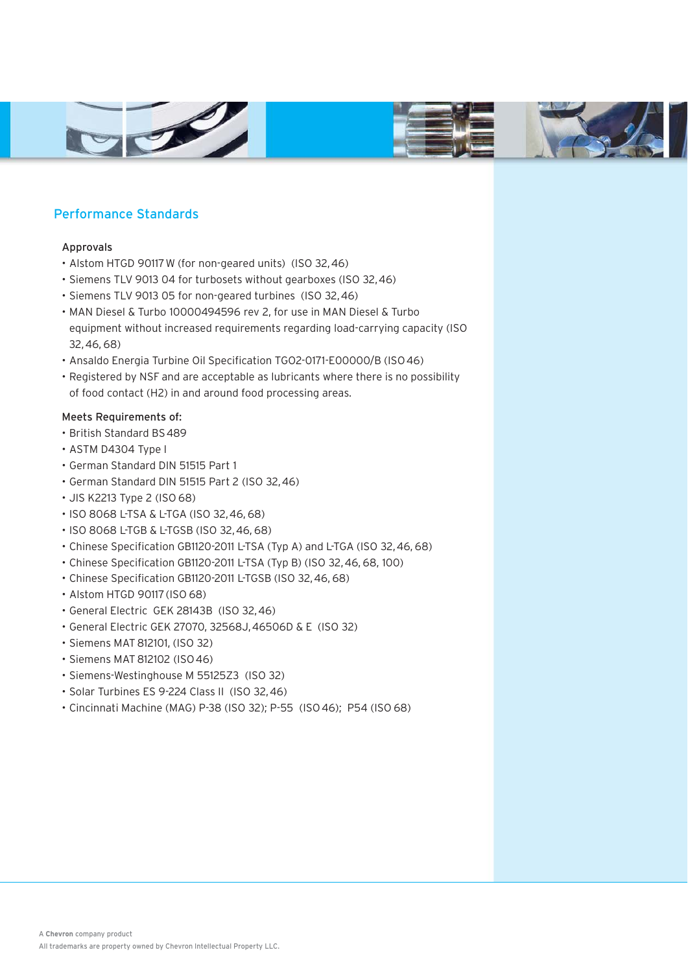





# Performance Standards

## Approvals

- Alstom HTGD 90117 W (for non-geared units) (ISO 32, 46)
- Siemens TLV 9013 04 for turbosets without gearboxes (ISO 32, 46)
- Siemens TLV 9013 05 for non-geared turbines (ISO 32, 46)
- MAN Diesel & Turbo 10000494596 rev 2, for use in MAN Diesel & Turbo equipment without increased requirements regarding load-carrying capacity (ISO 32, 46, 68)
- Ansaldo Energia Turbine Oil Specification TGO2-0171-E00000/B (ISO 46)
- Registered by NSF and are acceptable as lubricants where there is no possibility of food contact (H2) in and around food processing areas.

## Meets Requirements of:

- British Standard BS 489
- ASTM D4304 Type I
- German Standard DIN 51515 Part 1
- German Standard DIN 51515 Part 2 (ISO 32, 46)
- JIS K2213 Type 2 (ISO 68)
- ISO 8068 L-TSA & L-TGA (ISO 32, 46, 68)
- ISO 8068 L-TGB & L-TGSB (ISO 32, 46, 68)
- Chinese Specification GB1120-2011 L-TSA (Typ A) and L-TGA (ISO 32, 46, 68)
- Chinese Specification GB1120-2011 L-TSA (Typ B) (ISO 32, 46, 68, 100)
- Chinese Specification GB1120-2011 L-TGSB (ISO 32, 46, 68)
- Alstom HTGD 90117 (ISO 68)
- General Electric GEK 28143B (ISO 32, 46)
- General Electric GEK 27070, 32568J, 46506D & E (ISO 32)
- Siemens MAT 812101, (ISO 32)
- Siemens MAT 812102 (ISO 46)
- Siemens-Westinghouse M 55125Z3 (ISO 32)
- Solar Turbines ES 9-224 Class II (ISO 32, 46)
- Cincinnati Machine (MAG) P-38 (ISO 32); P-55 (ISO 46); P54 (ISO 68)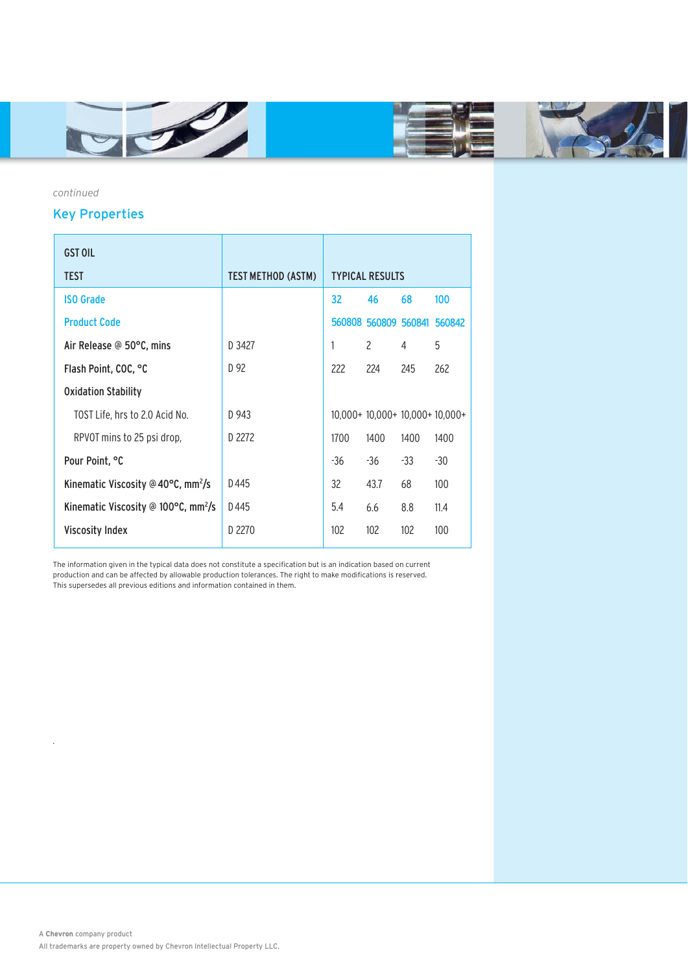



*continued*

.

# Key Properties

| <b>GST OIL</b>                                            |                           |                        |               |      |                                |
|-----------------------------------------------------------|---------------------------|------------------------|---------------|------|--------------------------------|
| <b>TEST</b>                                               | <b>TEST METHOD (ASTM)</b> | <b>TYPICAL RESULTS</b> |               |      |                                |
| <b>ISO Grade</b>                                          |                           | 32                     | 46            | 68   | 100                            |
| <b>Product Code</b>                                       |                           |                        |               |      | 560808 560809 560841 560842    |
| Air Release @ 50°C, mins                                  | D 3427                    | 1                      | $\mathcal{P}$ | 4    | 5                              |
| Flash Point, COC, °C                                      | D 92                      | 222                    | 224           | 245  | 262                            |
| <b>Oxidation Stability</b>                                |                           |                        |               |      |                                |
| TOST Life, hrs to 2.0 Acid No.                            | D 943                     |                        |               |      | $10,000+10,000+10,000+10,000+$ |
| RPVOT mins to 25 psi drop,                                | D 2272                    | 1700                   | 1400          | 1400 | 1400                           |
| Pour Point, °C                                            |                           | -36                    | -36           | -33  | -30                            |
| Kinematic Viscosity @ 40°C, mm <sup>2</sup> /s            | D445                      | 32                     | 43.7          | 68   | 100                            |
| Kinematic Viscosity @ 100 $\degree$ C, mm <sup>2</sup> /s | D445                      | 5.4                    | 6.6           | 8.8  | 11.4                           |
| <b>Viscosity Index</b>                                    | D 2270                    | 102                    | 102           | 102  | 100                            |
|                                                           |                           |                        |               |      |                                |

The information given in the typical data does not constitute a specification but is an indication based on current production and can be affected by allowable production tolerances. The right to make modifications is reserved. This supersedes all previous editions and information contained in them.